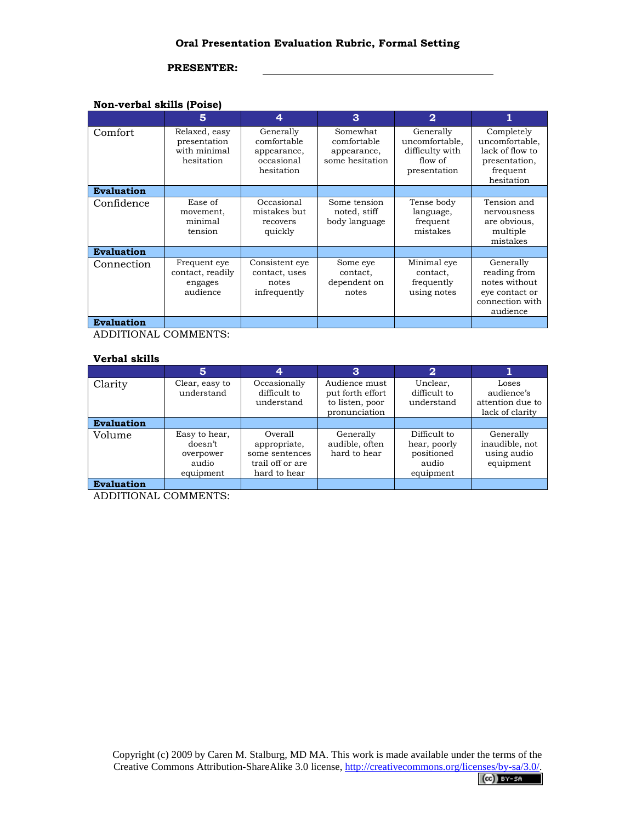## **PRESENTER:**

## **Non-verbal skills (Poise)**

|                   | 5                                                           | 4                                                                   | 3                                                         | $\mathbf{2}$                                                              |                                                                                             |
|-------------------|-------------------------------------------------------------|---------------------------------------------------------------------|-----------------------------------------------------------|---------------------------------------------------------------------------|---------------------------------------------------------------------------------------------|
| Comfort           | Relaxed, easy<br>presentation<br>with minimal<br>hesitation | Generally<br>comfortable<br>appearance,<br>occasional<br>hesitation | Somewhat<br>comfortable<br>appearance,<br>some hesitation | Generally<br>uncomfortable,<br>difficulty with<br>flow of<br>presentation | Completely<br>uncomfortable,<br>lack of flow to<br>presentation,<br>frequent<br>hesitation  |
| <b>Evaluation</b> |                                                             |                                                                     |                                                           |                                                                           |                                                                                             |
| Confidence        | Ease of<br>movement,<br>minimal<br>tension                  | Occasional<br>mistakes but<br>recovers<br>quickly                   | Some tension<br>noted, stiff<br>body language             | Tense body<br>language,<br>frequent<br>mistakes                           | Tension and<br>nervousness<br>are obvious,<br>multiple<br>mistakes                          |
| <b>Evaluation</b> |                                                             |                                                                     |                                                           |                                                                           |                                                                                             |
| Connection        | Frequent eye<br>contact, readily<br>engages<br>audience     | Consistent eye<br>contact, uses<br>notes<br>infrequently            | Some eye<br>contact,<br>dependent on<br>notes             | Minimal eye<br>contact,<br>frequently<br>using notes                      | Generally<br>reading from<br>notes without<br>eye contact or<br>connection with<br>audience |
| <b>Evaluation</b> |                                                             |                                                                     |                                                           |                                                                           |                                                                                             |

ADDITIONAL COMMENTS:

## **Verbal skills**

|                   | 5                                                           |                                                                               | 3                                                                     | $\mathbf{2}$                                                     |                                                            |
|-------------------|-------------------------------------------------------------|-------------------------------------------------------------------------------|-----------------------------------------------------------------------|------------------------------------------------------------------|------------------------------------------------------------|
| Clarity           | Clear, easy to<br>understand                                | Occasionally<br>difficult to<br>understand                                    | Audience must<br>put forth effort<br>to listen, poor<br>pronunciation | Unclear,<br>difficult to<br>understand                           | Loses<br>audience's<br>attention due to<br>lack of clarity |
| <b>Evaluation</b> |                                                             |                                                                               |                                                                       |                                                                  |                                                            |
| Volume            | Easy to hear,<br>doesn't<br>overpower<br>audio<br>equipment | Overall<br>appropriate,<br>some sentences<br>trail off or are<br>hard to hear | Generally<br>audible, often<br>hard to hear                           | Difficult to<br>hear, poorly<br>positioned<br>audio<br>equipment | Generally<br>inaudible, not<br>using audio<br>equipment    |
| <b>Evaluation</b> |                                                             |                                                                               |                                                                       |                                                                  |                                                            |

ADDITIONAL COMMENTS: